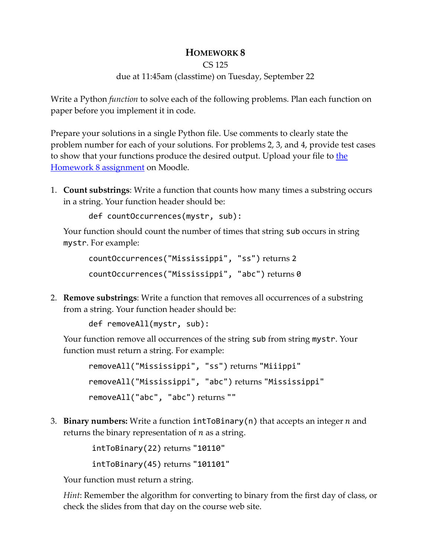## **HOMEWORK 8**

```
CS 125
```
## due at 11:45am (classtime) on Tuesday, September 22

Write a Python *function* to solve each of the following problems. Plan each function on paper before you implement it in code.

Prepare your solutions in a single Python file. Use comments to clearly state the problem number for each of your solutions. For problems 2, 3, and 4, provide test cases to show that your functions produce the desired output. Upload your file to [the](https://moodle-2020-21.stolaf.edu/mod/assign/view.php?id=37893)  [Homework 8](https://moodle-2020-21.stolaf.edu/mod/assign/view.php?id=37893) assignment on Moodle.

1. **Count substrings**: Write a function that counts how many times a substring occurs in a string. Your function header should be:

def countOccurrences(mystr, sub):

Your function should count the number of times that string sub occurs in string mystr. For example:

```
countOccurrences("Mississippi", "ss") returns 2
countOccurrences("Mississippi", "abc") returns 0
```
2. **Remove substrings**: Write a function that removes all occurrences of a substring from a string. Your function header should be:

```
def removeAll(mystr, sub):
```
Your function remove all occurrences of the string sub from string mystr. Your function must return a string. For example:

```
removeAll("Mississippi", "ss") returns "Miiippi"
removeAll("Mississippi", "abc") returns "Mississippi"
removeAll("abc", "abc") returns ""
```
3. **Binary numbers:** Write a function  $intToBinary(n)$  that accepts an integer  $n$  and returns the binary representation of  $n$  as a string.

> intToBinary(22) returns "10110" intToBinary(45) returns "101101"

Your function must return a string.

*Hint*: Remember the algorithm for converting to binary from the first day of class, or check the slides from that day on the course web site.